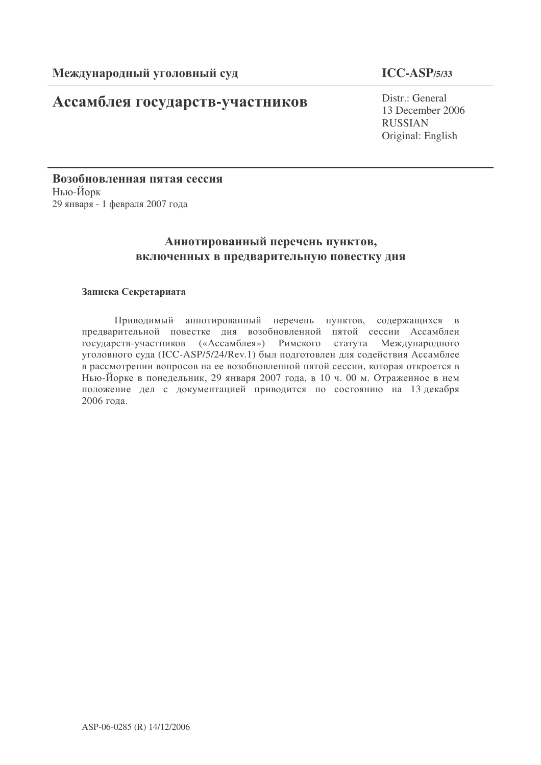# **Ассамблея государств-участников**

## **ICC-ASP/5/33**

Distr.: General 13 December 2006 RUSSIAN Original: English

Возобновленная пятая сессия Нью-Йорк 29 января - 1 февраля 2007 года

## Аннотированный перечень пунктов, включенных в предварительную повестку дня

### Записка Секретариата

Приводимый аннотированный перечень пунктов, содержащихся в предварительной повестке дня возобновленной пятой сессии Ассамблеи государств-участников («Ассамблея») Римского статута Международного уголовного суда (ICC-ASP/5/24/Rev.1) был подготовлен для содействия Ассамблее в рассмотрении вопросов на ее возобновленной пятой сессии, которая откроется в Нью-Йорке в понедельник, 29 января 2007 года, в 10 ч. 00 м. Отраженное в нем положение дел с документацией приводится по состоянию на 13 декабря 2006 года.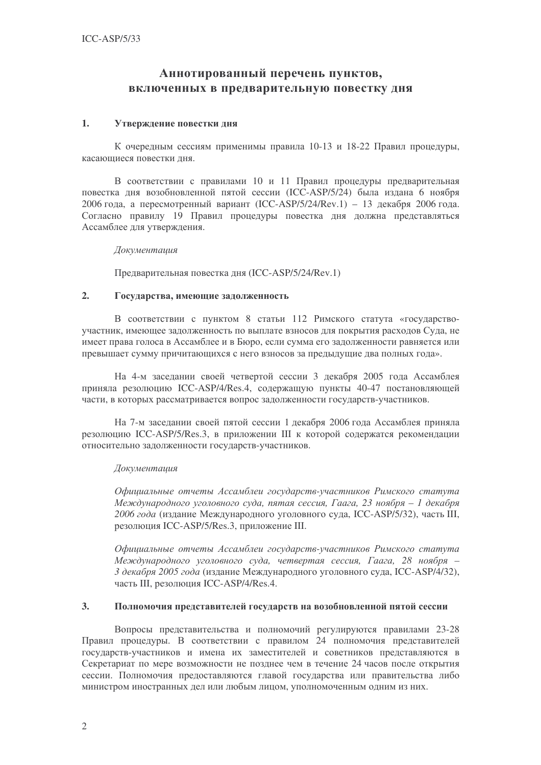## Аннотированный перечень пунктов, включенных в предварительную повестку дня

### 1. Утверждение повестки дня

К очередным сессиям применимы правила 10-13 и 18-22 Правил процедуры, касающиеся повестки дня.

В соответствии с правилами 10 и 11 Правил процедуры предварительная повестка дня возобновленной пятой сессии (ICC-ASP/5/24) была издана 6 ноября 2006 года, а пересмотренный вариант (ICC-ASP/5/24/Rev.1) - 13 декабря 2006 года. Согласно правилу 19 Правил процедуры повестка дня должна представляться Ассамблее для утверждения.

Документация

Предварительная повестка дня (ICC-ASP/5/24/Rev.1)

#### 2. Государства, имеющие задолженность

В соответствии с пунктом 8 статьи 112 Римского статута «государствоучастник, имеющее задолженность по выплате взносов для покрытия расходов Суда, не имеет права голоса в Ассамблее и в Бюро, если сумма его задолженности равняется или превышает сумму причитающихся с него взносов за предыдущие два полных года».

На 4-м заседании своей четвертой сессии 3 декабря 2005 года Ассамблея приняла резолюцию ICC-ASP/4/Res.4, содержащую пункты 40-47 постановляющей части, в которых рассматривается вопрос задолженности государств-участников.

На 7-м заседании своей пятой сессии 1 декабря 2006 года Ассамблея приняла резолюцию ICC-ASP/5/Res.3, в приложении III к которой содержатся рекомендации относительно задолженности государств-участников.

#### Документация

Официальные отчеты Ассамблеи государств-участников Римского статута Международного уголовного суда, пятая сессия, Гаага, 23 ноября – 1 декабря 2006 года (издание Международного уголовного суда, ICC-ASP/5/32), часть III, резолюция ICC-ASP/5/Res.3, приложение III.

Официальные отчеты Ассамблеи государств-участников Римского статута Международного уголовного суда, четвертая сессия, Гаага, 28 ноября – 3 декабря 2005 года (издание Международного уголовного суда, ICC-ASP/4/32), часть III, резолюция ICC-ASP/4/Res.4.

#### 3. Полномочия представителей государств на возобновленной пятой сессии

Вопросы представительства и полномочий регулируются правилами 23-28 Правил процедуры. В соответствии с правилом 24 полномочия представителей государств-участников и имена их заместителей и советников представляются в Секретариат по мере возможности не позднее чем в течение 24 часов после открытия сессии. Полномочия предоставляются главой государства или правительства либо министром иностранных дел или любым лицом, уполномоченным одним из них.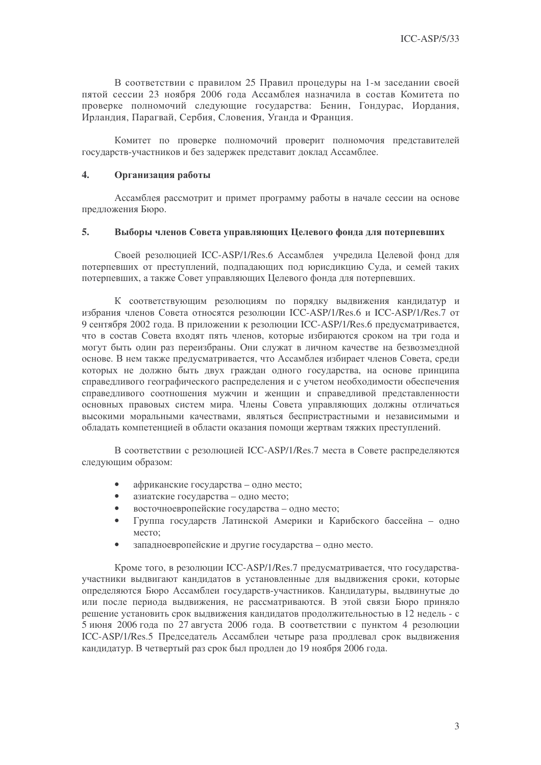В соответствии с правилом 25 Правил процедуры на 1-м заседании своей пятой сессии 23 ноября 2006 года Ассамблея назначила в состав Комитета по проверке полномочий следующие государства: Бенин, Гондурас, Иордания, Ирландия, Парагвай, Сербия, Словения, Уганда и Франция.

Комитет по проверке полномочий проверит полномочия представителей государств-участников и без задержек представит доклад Ассамблее.

#### 4. Организация работы

Ассамблея рассмотрит и примет программу работы в начале сессии на основе предложения Бюро.

#### 5. Выборы членов Совета управляющих Целевого фонда для потерпевших

Своей резолюцией ICC-ASP/1/Res.6 Ассамблея учредила Целевой фонд для потерпевших от преступлений, подпадающих под юрисдикцию Суда, и семей таких потерпевших, а также Совет управляющих Целевого фонда для потерпевших.

К соответствующим резолюциям по порядку выдвижения кандидатур и избрания членов Совета относятся резолюции ICC-ASP/1/Res.6 и ICC-ASP/1/Res.7 от 9 сентября 2002 года. В приложении к резолюции ICC-ASP/1/Res.6 предусматривается, что в состав Совета входят пять членов, которые избираются сроком на три года и могут быть один раз переизбраны. Они служат в личном качестве на безвозмездной основе. В нем также предусматривается, что Ассамблея избирает членов Совета, среди которых не должно быть двух граждан одного государства, на основе принципа справедливого географического распределения и с учетом необходимости обеспечения справедливого соотношения мужчин и женщин и справедливой представленности основных правовых систем мира. Члены Совета управляющих должны отличаться высокими моральными качествами, являться беспристрастными и независимыми и обладать компетенцией в области оказания помощи жертвам тяжких преступлений.

В соответствии с резолюцией ICC-ASP/1/Res.7 места в Совете распределяются следующим образом:

- африканские государства одно место;
- азиатские государства одно место;
- восточноевропейские государства одно место;
- Группа государств Латинской Америки и Карибского бассейна одно место:
- западноевропейские и другие государства одно место.

Кроме того, в резолюции ICC-ASP/1/Res.7 предусматривается, что государстваучастники выдвигают кандидатов в установленные для выдвижения сроки, которые определяются Бюро Ассамблеи государств-участников. Кандидатуры, выдвинутые до или после периода выдвижения, не рассматриваются. В этой связи Бюро приняло решение установить срок выдвижения кандидатов продолжительностью в 12 недель - с 5 июня 2006 года по 27 августа 2006 года. В соответствии с пунктом 4 резолюции ICC-ASP/1/Res.5 Председатель Ассамблеи четыре раза продлевал срок выдвижения кандидатур. В четвертый раз срок был продлен до 19 ноября 2006 года.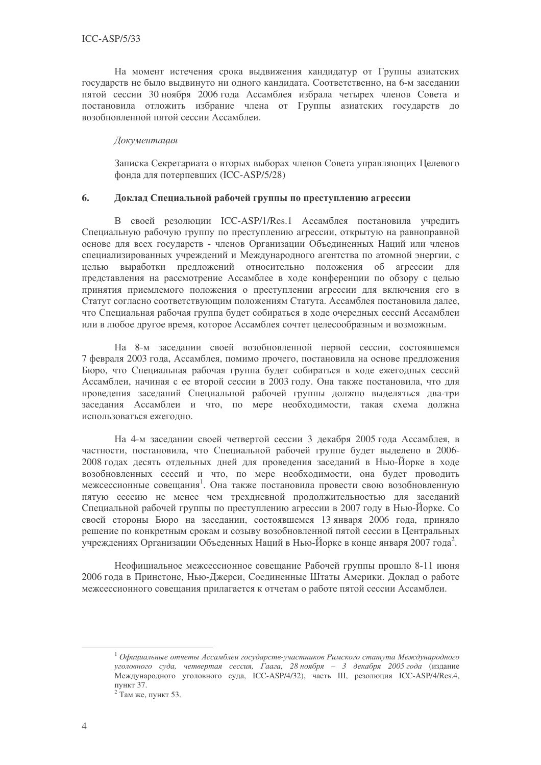На момент истечения срока выдвижения кандидатур от Группы азиатских государств не было выдвинуто ни одного кандидата. Соответственно, на 6-м заседании пятой сессии 30 ноября 2006 года Ассамблея избрала четырех членов Совета и постановила отложить избрание члена от Группы азиатских государств до возобновленной пятой сессии Ассамблеи.

#### Локументация

Записка Секретариата о вторых выборах членов Совета управляющих Целевого фонда для потерпевших (ICC-ASP/5/28)

#### 6. Доклад Специальной рабочей группы по преступлению агрессии

В своей резолюции ICC-ASP/1/Res.1 Ассамблея постановила учредить Специальную рабочую группу по преступлению агрессии, открытую на равноправной основе для всех государств - членов Организации Объединенных Наций или членов специализированных учреждений и Международного агентства по атомной энергии, с выработки предложений относительно положения об агрессии для нелью представления на рассмотрение Ассамблее в ходе конференции по обзору с целью принятия приемлемого положения о преступлении агрессии для включения его в Статут согласно соответствующим положениям Статута. Ассамблея постановила далее, что Специальная рабочая группа будет собираться в ходе очередных сессий Ассамблеи или в любое другое время, которое Ассамблея сочтет целесообразным и возможным.

На 8-м заседании своей возобновленной первой сессии, состоявшемся 7 февраля 2003 года, Ассамблея, помимо прочего, постановила на основе предложения Бюро, что Специальная рабочая группа будет собираться в ходе ежегодных сессий Ассамблеи, начиная с ее второй сессии в 2003 году. Она также постановила, что для проведения заседаний Специальной рабочей группы должно выделяться два-три заседания Ассамблеи и что, по мере необходимости, такая схема должна использоваться ежегодно.

На 4-м заседании своей четвертой сессии 3 декабря 2005 года Ассамблея, в частности, постановила, что Специальной рабочей группе будет выделено в 2006-2008 годах десять отдельных дней для проведения заседаний в Нью-Йорке в ходе возобновленных сессий и что, по мере необходимости, она будет проводить межсессионные совещания<sup>1</sup>. Она также постановила провести свою возобновленную пятую сессию не менее чем трехдневной продолжительностью для заседаний Специальной рабочей группы по преступлению агрессии в 2007 году в Нью-Йорке. Со своей стороны Бюро на заседании, состоявшемся 13 января 2006 года, приняло решение по конкретным срокам и созыву возобновленной пятой сессии в Центральных учреждениях Организации Объеденных Наций в Нью-Йорке в конце января 2007 года<sup>2</sup>.

Неофициальное межсессионное совещание Рабочей группы прошло 8-11 июня 2006 года в Принстоне, Нью-Джерси, Соединенные Штаты Америки. Доклад о работе межсессионного совещания прилагается к отчетам о работе пятой сессии Ассамблеи.

 $^{-1}$ Официальные отчеты Ассамблеи государств-участников Римского статута Международного уголовного суда, четвертая сессия, Гаага, 28-ноября – 3 декабря 2005 года (издание Международного уголовного суда, ICC-ASP/4/32), часть III, резолюция ICC-ASP/4/Res.4, пункт 37.

<sup>&</sup>lt;sup>2</sup> Там же, пункт 53.